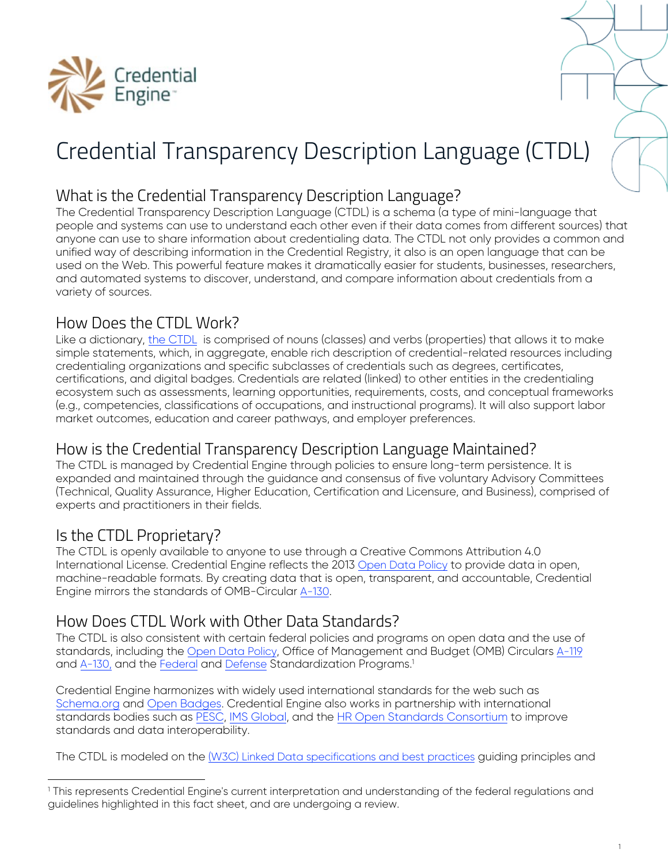

# Credential Transparency Description Language (CTDL)

# What is the Credential Transparency Description Language?

The Credential Transparency Description Language (CTDL) is a schema (a type of mini-language that people and systems can use to understand each other even if their data comes from different sources) that anyone can use to share information about credentialing data. The CTDL not only provides a common and unified way of describing information in the Credential Registry, it also is an open language that can be used on the Web. This powerful feature makes it dramatically easier for students, businesses, researchers, and automated systems to discover, understand, and compare information about credentials from a variety of sources.

# How Does the CTDL Work?

Like a dictionary, [the CTDL](http://www.credreg.net/ctdl/handbook) is comprised of nouns (classes) and verbs (properties) that allows it to make simple statements, which, in aggregate, enable rich description of credential-related resources including credentialing organizations and specific subclasses of credentials such as degrees, certificates, certifications, and digital badges. Credentials are related (linked) to other entities in the credentialing ecosystem such as assessments, learning opportunities, requirements, costs, and conceptual frameworks (e.g., competencies, classifications of occupations, and instructional programs). It will also support labor market outcomes, education and career pathways, and employer preferences.

## How is the Credential Transparency Description Language Maintained?

The CTDL is managed by Credential Engine through policies to ensure long-term persistence. It is expanded and maintained through the guidance and consensus of five voluntary Advisory Committees (Technical, Quality Assurance, Higher Education, Certification and Licensure, and Business), comprised of experts and practitioners in their fields.

# Is the CTDL Proprietary?

The CTDL is openly available to anyone to use through a Creative Commons Attribution 4.0 International License. Credential Engine reflects the 2013 Open Data [Policy](https://project-open-data.cio.gov/policy-memo/) to provide data in open, machine-readable formats. By creating data that is open, transparent, and accountable, Credential Engine mirrors the standards of OMB-Circular [A-130](https://www.whitehouse.gov/sites/whitehouse.gov/files/omb/circulars/A130/a130revised.pdf).

# How Does CTDL Work with Other Data Standards?

The CTDL is also consistent with certain federal policies and programs on open data and the use of standards, including the Open Data [Policy](https://project-open-data.cio.gov/policy-memo/), Office of Management and Budget (OMB) Circulars [A-119](https://www.whitehouse.gov/sites/whitehouse.gov/files/omb/circulars/A119/revised_circular_a-119_as_of_1_22.pdf) and [A-130](https://www.whitehouse.gov/sites/whitehouse.gov/files/omb/circulars/A130/a130revised.pdf), and the [Federal](https://www.gsa.gov/acquisition/purchasing-programs/requisition-programs/gsa-global-supply/supply-standards/federal-standardization-manual) and [Defense](http://www.dsp.dla.mil/) Standardization Programs.<sup>1</sup>

Credential Engine harmonizes with widely used international standards for the web such as [Schema.org](https://schema.org/) and [Open Badges](https://openbadges.org/). Credential Engine also works in partnership with international standards bodies such as [PESC,](http://www.pesc.org/) IMS [Global,](https://www.imsglobal.org/) and the HR [Open Standards](https://hropenstandards.org/) Consortium to improve standards and data interoperability.

The CTDL is modeled on the (W3C) Linked Data [specifications](https://www.w3.org/standards/semanticweb/data#summary) and best practices guiding principles and

<sup>1</sup> This represents Credential Engine's current interpretation and understanding of the federal regulations and guidelines highlighted in this fact sheet, and are undergoing a review.